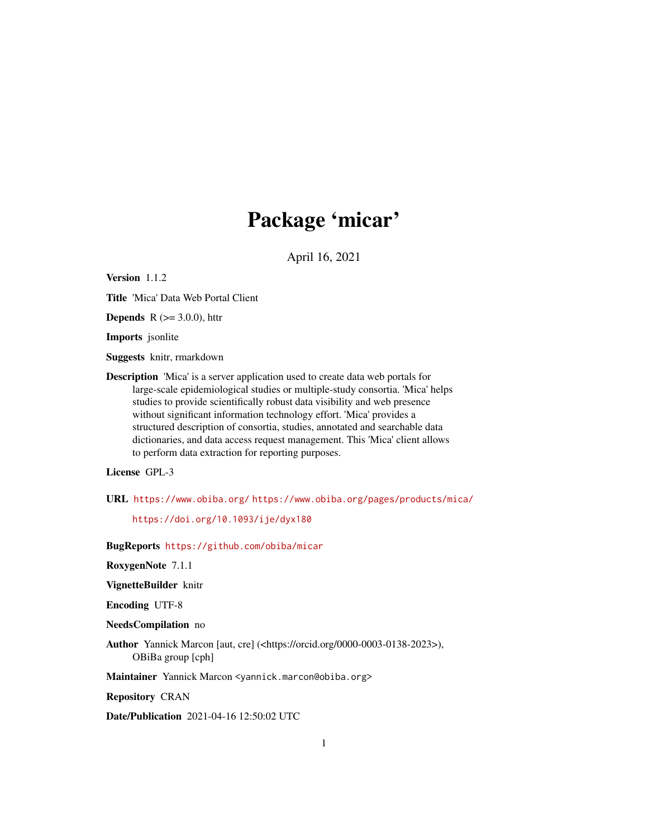## Package 'micar'

April 16, 2021

Version 1.1.2

Title 'Mica' Data Web Portal Client

**Depends** R  $(>= 3.0.0)$ , httr

Imports jsonlite

Suggests knitr, rmarkdown

Description 'Mica' is a server application used to create data web portals for large-scale epidemiological studies or multiple-study consortia. 'Mica' helps studies to provide scientifically robust data visibility and web presence without significant information technology effort. 'Mica' provides a structured description of consortia, studies, annotated and searchable data dictionaries, and data access request management. This 'Mica' client allows to perform data extraction for reporting purposes.

## License GPL-3

URL <https://www.obiba.org/> <https://www.obiba.org/pages/products/mica/>

<https://doi.org/10.1093/ije/dyx180>

BugReports <https://github.com/obiba/micar>

RoxygenNote 7.1.1

VignetteBuilder knitr

Encoding UTF-8

NeedsCompilation no

Author Yannick Marcon [aut, cre] (<https://orcid.org/0000-0003-0138-2023>), OBiBa group [cph]

Maintainer Yannick Marcon <yannick.marcon@obiba.org>

Repository CRAN

Date/Publication 2021-04-16 12:50:02 UTC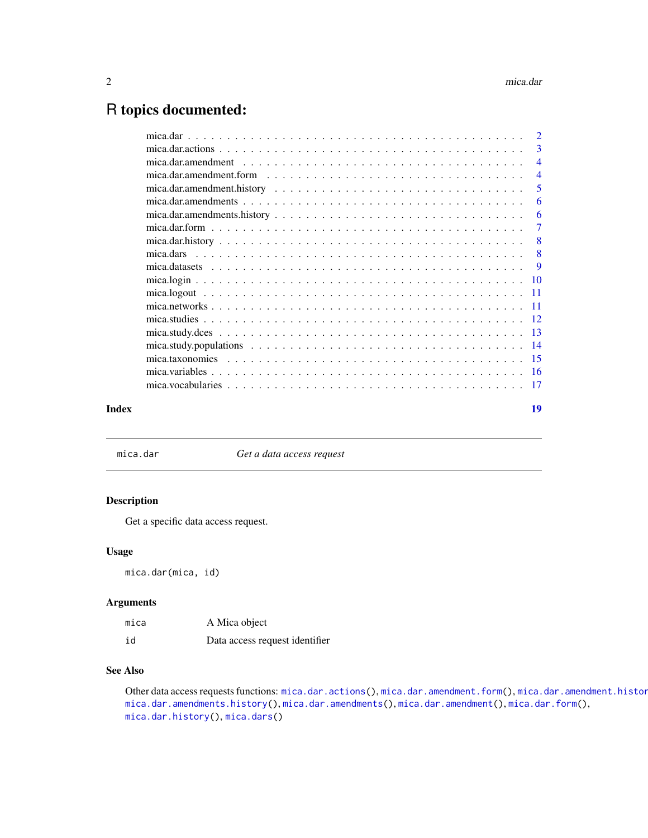## <span id="page-1-0"></span>R topics documented:

| $\overline{2}$                                                                                                                                                                        |
|---------------------------------------------------------------------------------------------------------------------------------------------------------------------------------------|
| 3                                                                                                                                                                                     |
| $\overline{\mathcal{A}}$                                                                                                                                                              |
| mica.dar.amendment.form $\ldots$ , $\ldots$ , $\ldots$ , $\ldots$ , $\ldots$ , $\ldots$ , $\ldots$ , $\ldots$ , $\ldots$ , $\ldots$ , $\ldots$ , $\ldots$<br>$\overline{\mathcal{A}}$ |
| 5                                                                                                                                                                                     |
| 6                                                                                                                                                                                     |
| 6                                                                                                                                                                                     |
| 7                                                                                                                                                                                     |
| 8                                                                                                                                                                                     |
| 8                                                                                                                                                                                     |
| 9                                                                                                                                                                                     |
|                                                                                                                                                                                       |
|                                                                                                                                                                                       |
|                                                                                                                                                                                       |
| -12                                                                                                                                                                                   |
| $\overline{13}$                                                                                                                                                                       |
| - 14                                                                                                                                                                                  |
|                                                                                                                                                                                       |
|                                                                                                                                                                                       |
| -17                                                                                                                                                                                   |
|                                                                                                                                                                                       |

#### **Index** 2008 **[19](#page-18-0)99**

<span id="page-1-1"></span>mica.dar *Get a data access request*

## Description

Get a specific data access request.

#### Usage

mica.dar(mica, id)

## Arguments

| mica | A Mica object                  |
|------|--------------------------------|
| id   | Data access request identifier |

## See Also

Other data access requests functions: [mica.dar.actions\(](#page-2-1)), [mica.dar.amendment.form\(](#page-3-1)), mica.dar.amendment.histor [mica.dar.amendments.history\(](#page-5-1)), [mica.dar.amendments\(](#page-5-2)), [mica.dar.amendment\(](#page-3-2)), [mica.dar.form\(](#page-6-1)), [mica.dar.history\(](#page-7-1)), [mica.dars\(](#page-7-2))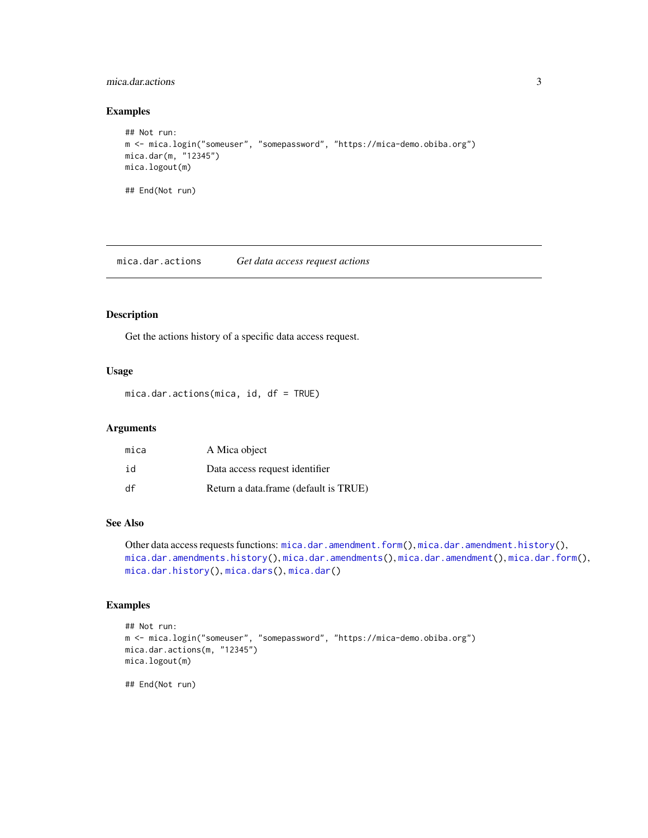#### <span id="page-2-0"></span>mica.dar.actions 3

#### Examples

```
## Not run:
m <- mica.login("someuser", "somepassword", "https://mica-demo.obiba.org")
mica.dar(m, "12345")
mica.logout(m)
## End(Not run)
```
<span id="page-2-1"></span>mica.dar.actions *Get data access request actions*

#### Description

Get the actions history of a specific data access request.

#### Usage

mica.dar.actions(mica, id, df = TRUE)

#### Arguments

| mica | A Mica object                         |
|------|---------------------------------------|
| id   | Data access request identifier        |
| df   | Return a data.frame (default is TRUE) |

#### See Also

Other data access requests functions: [mica.dar.amendment.form\(](#page-3-1)), [mica.dar.amendment.history\(](#page-4-1)), [mica.dar.amendments.history\(](#page-5-1)), [mica.dar.amendments\(](#page-5-2)), [mica.dar.amendment\(](#page-3-2)), [mica.dar.form\(](#page-6-1)), [mica.dar.history\(](#page-7-1)), [mica.dars\(](#page-7-2)), [mica.dar\(](#page-1-1))

## Examples

```
## Not run:
m <- mica.login("someuser", "somepassword", "https://mica-demo.obiba.org")
mica.dar.actions(m, "12345")
mica.logout(m)
```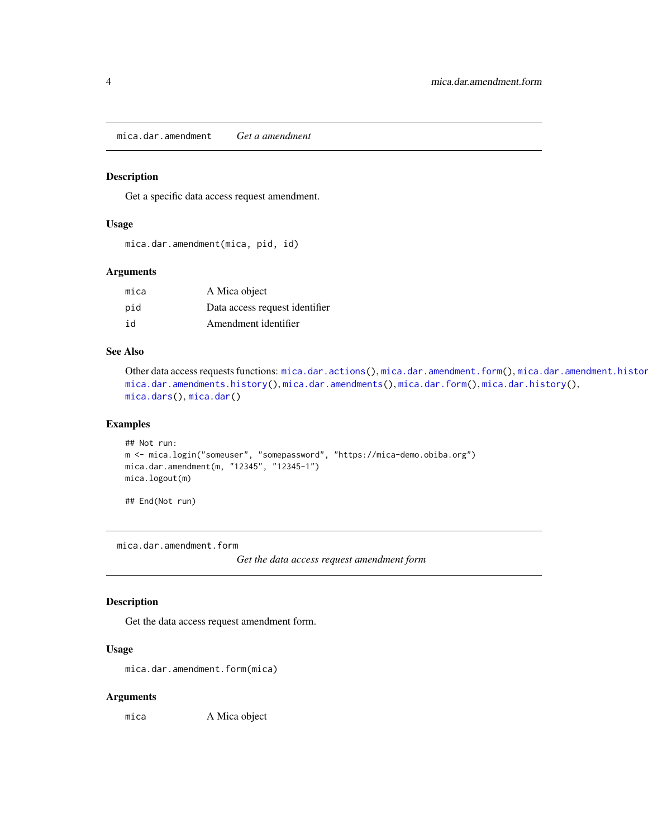<span id="page-3-2"></span><span id="page-3-0"></span>mica.dar.amendment *Get a amendment*

#### Description

Get a specific data access request amendment.

#### Usage

mica.dar.amendment(mica, pid, id)

#### Arguments

| mica | A Mica object                  |
|------|--------------------------------|
| pid  | Data access request identifier |
| id   | Amendment identifier           |

#### See Also

```
mica.dar.actions(mica.dar.amendment.form(), mica.dar.amendment.histor
mica.dar.amendments.history(), mica.dar.amendments(), mica.dar.form(), mica.dar.history(),
mica.dars(), mica.dar()
```
## Examples

```
## Not run:
m <- mica.login("someuser", "somepassword", "https://mica-demo.obiba.org")
mica.dar.amendment(m, "12345", "12345-1")
mica.logout(m)
```
## End(Not run)

<span id="page-3-1"></span>mica.dar.amendment.form

*Get the data access request amendment form*

#### Description

Get the data access request amendment form.

#### Usage

mica.dar.amendment.form(mica)

#### Arguments

mica A Mica object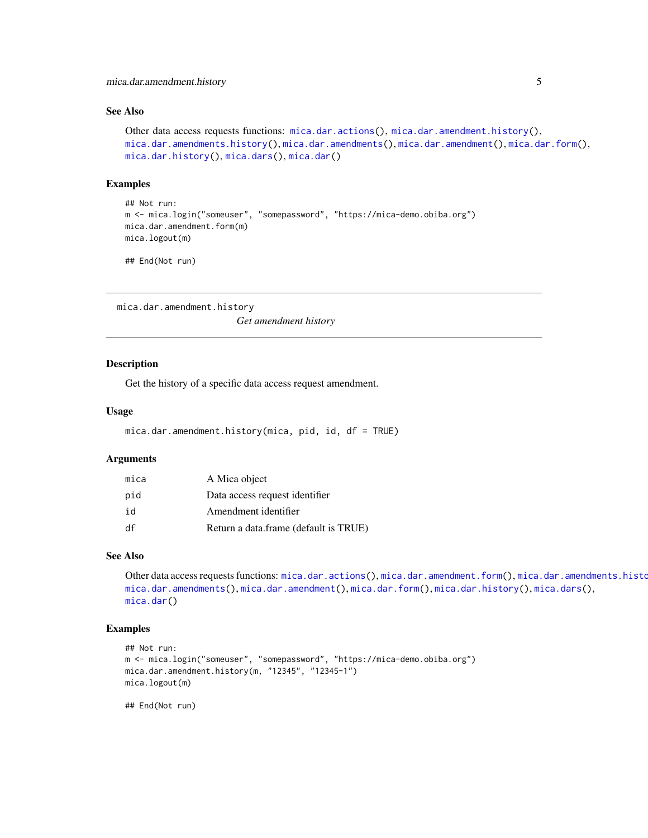#### <span id="page-4-0"></span>See Also

```
Other data access requests functions: mica.dar.actions(), mica.dar.amendment.history(),
mica.dar.amendments.history(mica.dar.amendments(mica.dar.amendment(mica.dar.form(),
mica.dar.history(), mica.dars(), mica.dar()
```
#### Examples

```
## Not run:
m <- mica.login("someuser", "somepassword", "https://mica-demo.obiba.org")
mica.dar.amendment.form(m)
mica.logout(m)
```
## End(Not run)

<span id="page-4-1"></span>mica.dar.amendment.history

*Get amendment history*

#### Description

Get the history of a specific data access request amendment.

#### Usage

```
mica.dar.amendment.history(mica, pid, id, df = TRUE)
```
#### Arguments

| mica | A Mica object                         |
|------|---------------------------------------|
| pid  | Data access request identifier        |
| id   | Amendment identifier                  |
| df   | Return a data.frame (default is TRUE) |

#### See Also

Other data access requests functions: [mica.dar.actions\(](#page-2-1)), [mica.dar.amendment.form\(](#page-3-1)), mica.dar.amendments.histo [mica.dar.amendments\(](#page-5-2)), [mica.dar.amendment\(](#page-3-2)), [mica.dar.form\(](#page-6-1)), [mica.dar.history\(](#page-7-1)), [mica.dars\(](#page-7-2)), [mica.dar\(](#page-1-1))

## Examples

```
## Not run:
m <- mica.login("someuser", "somepassword", "https://mica-demo.obiba.org")
mica.dar.amendment.history(m, "12345", "12345-1")
mica.logout(m)
```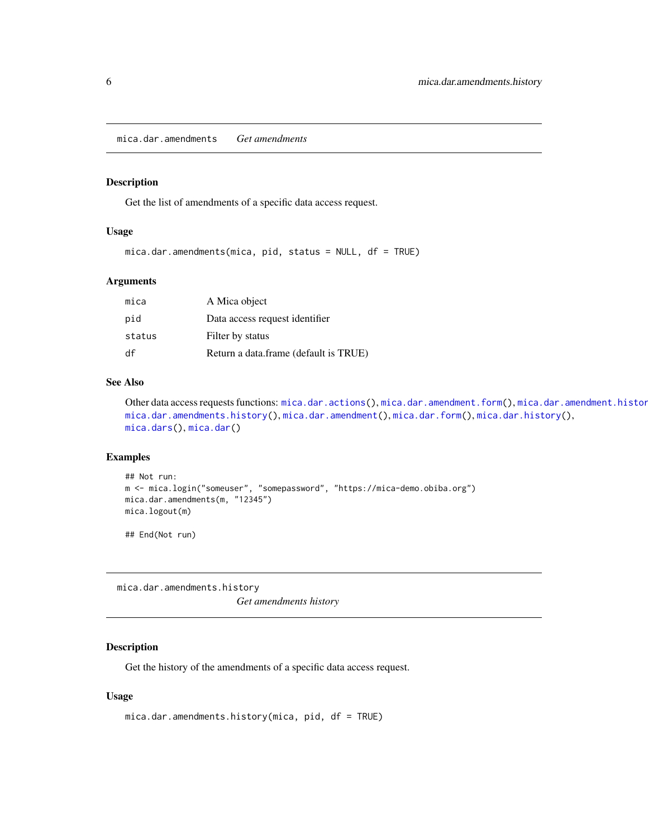<span id="page-5-2"></span><span id="page-5-0"></span>mica.dar.amendments *Get amendments*

#### Description

Get the list of amendments of a specific data access request.

## Usage

```
mica.dar.amendments(mica, pid, status = NULL, df = TRUE)
```
#### Arguments

| mica   | A Mica object                         |
|--------|---------------------------------------|
| pid    | Data access request identifier        |
| status | Filter by status                      |
| df     | Return a data.frame (default is TRUE) |

#### See Also

```
mica.dar.actions(mica.dar.amendment.form(), mica.dar.amendment.histor
mica.dar.amendments.history(mica.dar.amendment(mica.dar.form(mica.dar.history(),
mica.dars(), mica.dar()
```
#### Examples

```
## Not run:
m <- mica.login("someuser", "somepassword", "https://mica-demo.obiba.org")
mica.dar.amendments(m, "12345")
mica.logout(m)
```
## End(Not run)

<span id="page-5-1"></span>mica.dar.amendments.history *Get amendments history*

#### Description

Get the history of the amendments of a specific data access request.

#### Usage

```
mica.dar.amendments.history(mica, pid, df = TRUE)
```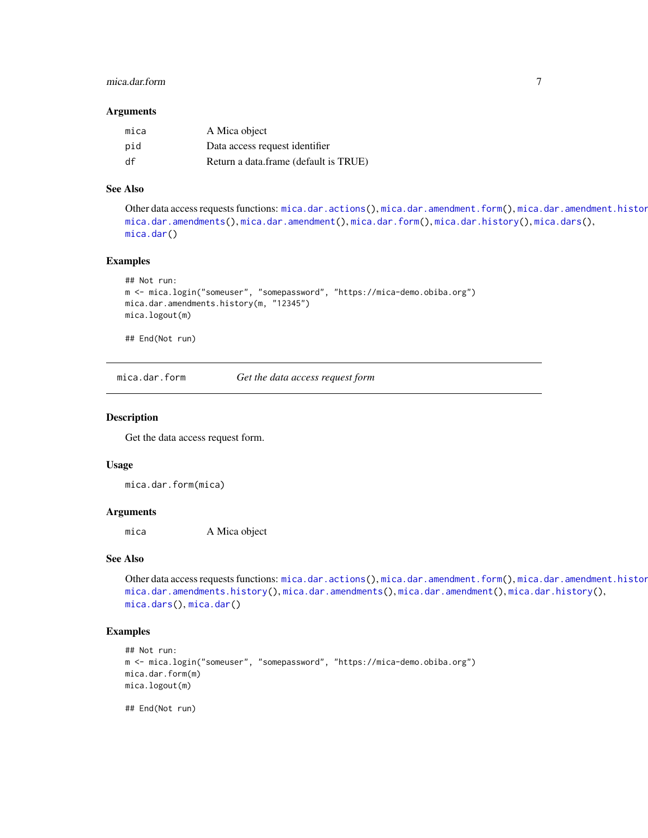### <span id="page-6-0"></span>mica.dar.form 7

#### **Arguments**

| mica | A Mica object                         |
|------|---------------------------------------|
| pid  | Data access request identifier        |
| df   | Return a data.frame (default is TRUE) |

## See Also

Other data access requests functions: [mica.dar.actions\(](#page-2-1)), [mica.dar.amendment.form\(](#page-3-1)), mica.dar.amendment.histor [mica.dar.amendments\(](#page-5-2)), [mica.dar.amendment\(](#page-3-2)), [mica.dar.form\(](#page-6-1)), [mica.dar.history\(](#page-7-1)), [mica.dars\(](#page-7-2)), [mica.dar\(](#page-1-1))

#### Examples

```
## Not run:
m <- mica.login("someuser", "somepassword", "https://mica-demo.obiba.org")
mica.dar.amendments.history(m, "12345")
mica.logout(m)
```
## End(Not run)

<span id="page-6-1"></span>mica.dar.form *Get the data access request form*

#### Description

Get the data access request form.

#### Usage

mica.dar.form(mica)

## Arguments

mica A Mica object

#### See Also

Other data access requests functions: [mica.dar.actions\(](#page-2-1)), [mica.dar.amendment.form\(](#page-3-1)), mica.dar.amendment.histor [mica.dar.amendments.history\(](#page-5-1)), [mica.dar.amendments\(](#page-5-2)), [mica.dar.amendment\(](#page-3-2)), [mica.dar.history\(](#page-7-1)), [mica.dars\(](#page-7-2)), [mica.dar\(](#page-1-1))

#### Examples

```
## Not run:
m <- mica.login("someuser", "somepassword", "https://mica-demo.obiba.org")
mica.dar.form(m)
mica.logout(m)
```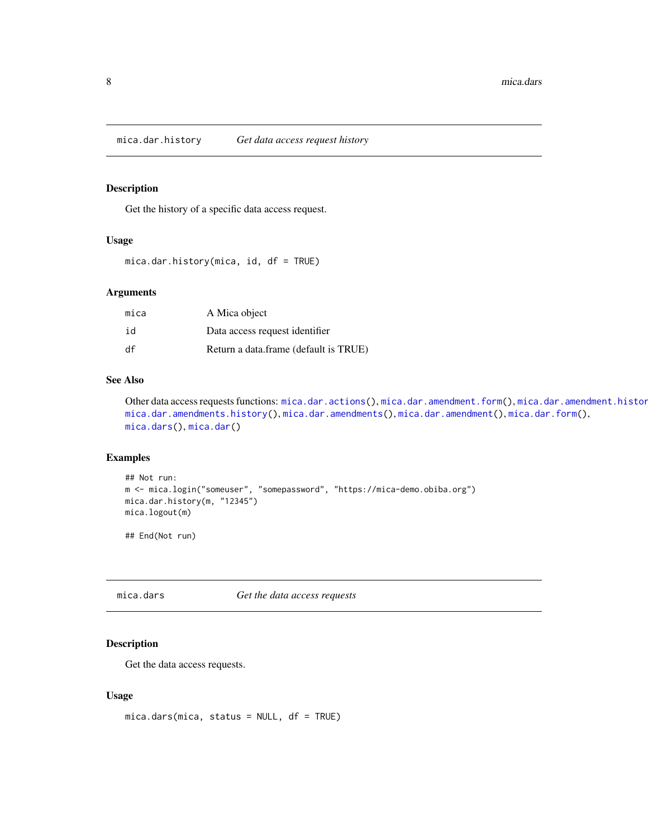<span id="page-7-1"></span><span id="page-7-0"></span>mica.dar.history *Get data access request history*

#### Description

Get the history of a specific data access request.

#### Usage

mica.dar.history(mica, id, df = TRUE)

#### Arguments

| mica | A Mica object                         |
|------|---------------------------------------|
| id   | Data access request identifier        |
| df   | Return a data.frame (default is TRUE) |

## See Also

Other data access requests functions: [mica.dar.actions\(](#page-2-1)), [mica.dar.amendment.form\(](#page-3-1)), mica.dar.amendment.histor [mica.dar.amendments.history\(](#page-5-1)), [mica.dar.amendments\(](#page-5-2)), [mica.dar.amendment\(](#page-3-2)), [mica.dar.form\(](#page-6-1)), [mica.dars\(](#page-7-2)), [mica.dar\(](#page-1-1))

#### Examples

```
## Not run:
m <- mica.login("someuser", "somepassword", "https://mica-demo.obiba.org")
mica.dar.history(m, "12345")
mica.logout(m)
```
## End(Not run)

<span id="page-7-2"></span>mica.dars *Get the data access requests*

## Description

Get the data access requests.

#### Usage

mica.dars(mica, status = NULL, df = TRUE)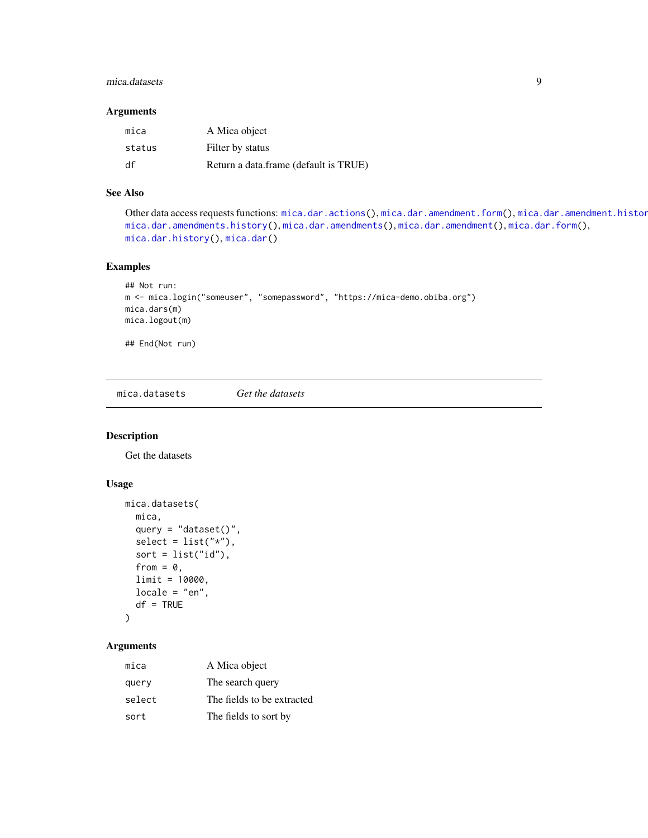#### <span id="page-8-0"></span>mica.datasets 9

#### Arguments

| mica   | A Mica object                         |
|--------|---------------------------------------|
| status | Filter by status                      |
| df     | Return a data.frame (default is TRUE) |

## See Also

Other data access requests functions: [mica.dar.actions\(](#page-2-1)), [mica.dar.amendment.form\(](#page-3-1)), mica.dar.amendment.histor [mica.dar.amendments.history\(](#page-5-1)), [mica.dar.amendments\(](#page-5-2)), [mica.dar.amendment\(](#page-3-2)), [mica.dar.form\(](#page-6-1)), [mica.dar.history\(](#page-7-1)), [mica.dar\(](#page-1-1))

## Examples

```
## Not run:
m <- mica.login("someuser", "somepassword", "https://mica-demo.obiba.org")
mica.dars(m)
mica.logout(m)
## End(Not run)
```
mica.datasets *Get the datasets*

## Description

Get the datasets

## Usage

```
mica.datasets(
  mica,
  query = "dataset()",
  select = list("*"),
  sort = list("id"),from = 0,
  limit = 10000,locale = "en",
  df = TRUE\mathcal{L}
```
## Arguments

| mica   | A Mica object              |
|--------|----------------------------|
| query  | The search query           |
| select | The fields to be extracted |
| sort   | The fields to sort by      |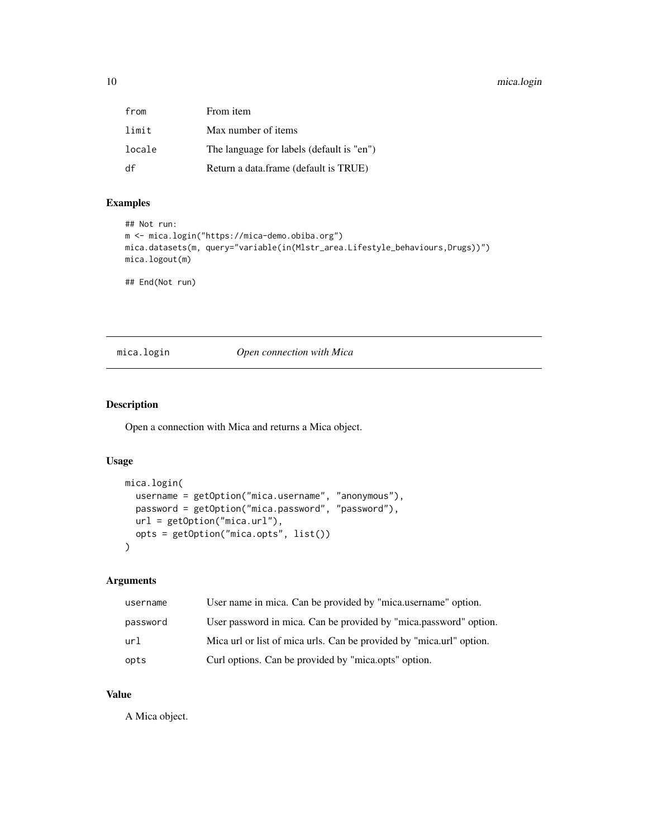## <span id="page-9-0"></span>10 mica.login

| from   | From item                                 |
|--------|-------------------------------------------|
| limit  | Max number of items                       |
| locale | The language for labels (default is "en") |
| df     | Return a data.frame (default is TRUE)     |

## Examples

```
## Not run:
m <- mica.login("https://mica-demo.obiba.org")
mica.datasets(m, query="variable(in(Mlstr_area.Lifestyle_behaviours,Drugs))")
mica.logout(m)
```
## End(Not run)

#### mica.login *Open connection with Mica*

## Description

Open a connection with Mica and returns a Mica object.

#### Usage

```
mica.login(
 username = getOption("mica.username", "anonymous"),
 password = getOption("mica.password", "password"),
 url = getOption("mica.url"),
  opts = getOption("mica.opts", list())
\mathcal{E}
```
#### Arguments

| username | User name in mica. Can be provided by "mica.username" option.        |
|----------|----------------------------------------------------------------------|
| password | User password in mica. Can be provided by "mica.password" option.    |
| url      | Mica url or list of mica urls. Can be provided by "mica url" option. |
| opts     | Curl options. Can be provided by "mica.opts" option.                 |

## Value

A Mica object.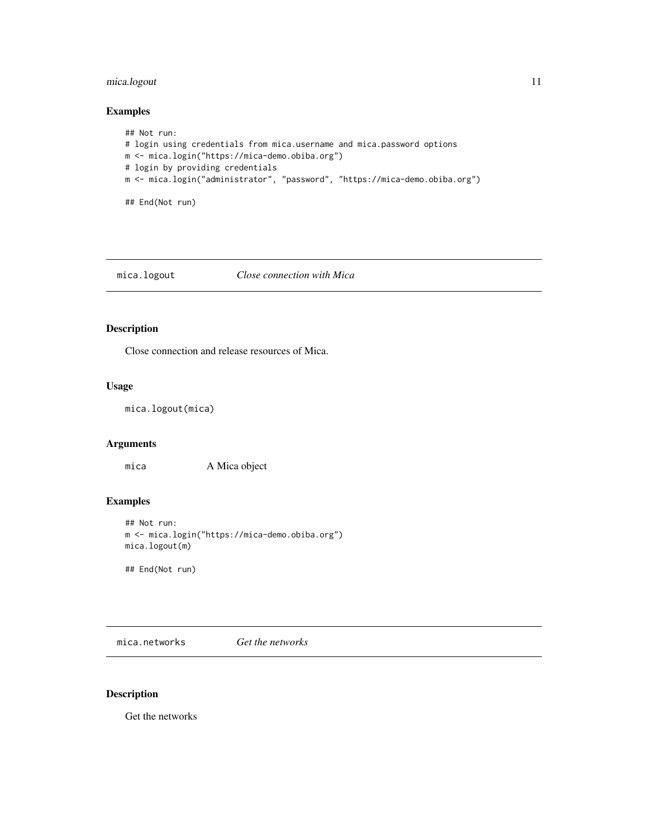## <span id="page-10-0"></span>mica.logout 11

#### Examples

```
## Not run:
# login using credentials from mica.username and mica.password options
m <- mica.login("https://mica-demo.obiba.org")
# login by providing credentials
m <- mica.login("administrator", "password", "https://mica-demo.obiba.org")
## End(Not run)
```
#### mica.logout *Close connection with Mica*

## Description

Close connection and release resources of Mica.

#### Usage

```
mica.logout(mica)
```
## Arguments

mica A Mica object

## Examples

```
## Not run:
m <- mica.login("https://mica-demo.obiba.org")
mica.logout(m)
```
## End(Not run)

mica.networks *Get the networks*

## Description

Get the networks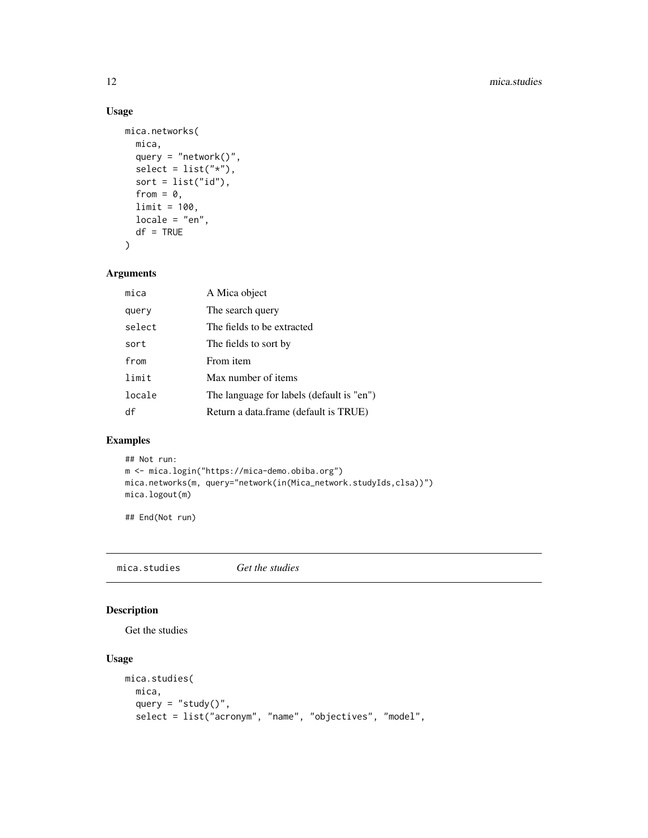## Usage

```
mica.networks(
 mica,
  query = "network()",
  select = list("*"),
 sort = list("id"),from = 0,
 limit = 100,
 locale = "en",df = TRUE\mathcal{L}
```
## Arguments

| mica   | A Mica object                             |
|--------|-------------------------------------------|
| query  | The search query                          |
| select | The fields to be extracted                |
| sort   | The fields to sort by                     |
| from   | From item                                 |
| limit  | Max number of items                       |
| locale | The language for labels (default is "en") |
| df     | Return a data.frame (default is TRUE)     |

## Examples

```
## Not run:
m <- mica.login("https://mica-demo.obiba.org")
mica.networks(m, query="network(in(Mica_network.studyIds,clsa))")
mica.logout(m)
```
## End(Not run)

<span id="page-11-1"></span>mica.studies *Get the studies*

## Description

Get the studies

## Usage

```
mica.studies(
 mica,
  query = "study()",
  select = list("acronym", "name", "objectives", "model",
```
<span id="page-11-0"></span>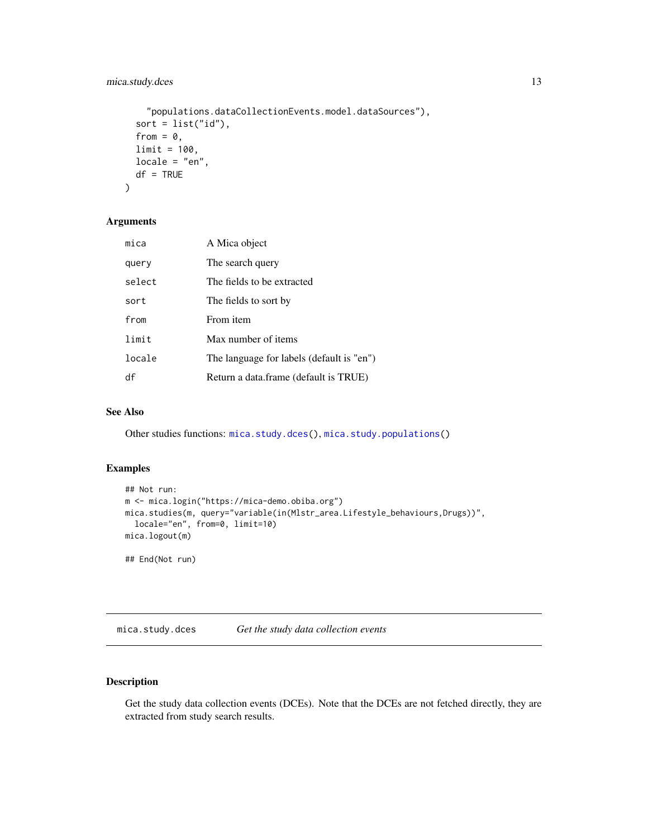## <span id="page-12-0"></span>mica.study.dces 13

```
"populations.dataCollectionEvents.model.dataSources"),
sort = list("id"),
from = 0,
limit = 100,
locale = "en",
df = TRUE
```
## Arguments

)

| mica   | A Mica object                             |
|--------|-------------------------------------------|
| query  | The search query                          |
| select | The fields to be extracted                |
| sort   | The fields to sort by                     |
| from   | From <i>item</i>                          |
| limit  | Max number of items                       |
| locale | The language for labels (default is "en") |
| df     | Return a data.frame (default is TRUE)     |

## See Also

Other studies functions: [mica.study.dces\(](#page-12-1)), [mica.study.populations\(](#page-13-1))

#### Examples

```
## Not run:
m <- mica.login("https://mica-demo.obiba.org")
mica.studies(m, query="variable(in(Mlstr_area.Lifestyle_behaviours,Drugs))",
  locale="en", from=0, limit=10)
mica.logout(m)
## End(Not run)
```
<span id="page-12-1"></span>mica.study.dces *Get the study data collection events*

## Description

Get the study data collection events (DCEs). Note that the DCEs are not fetched directly, they are extracted from study search results.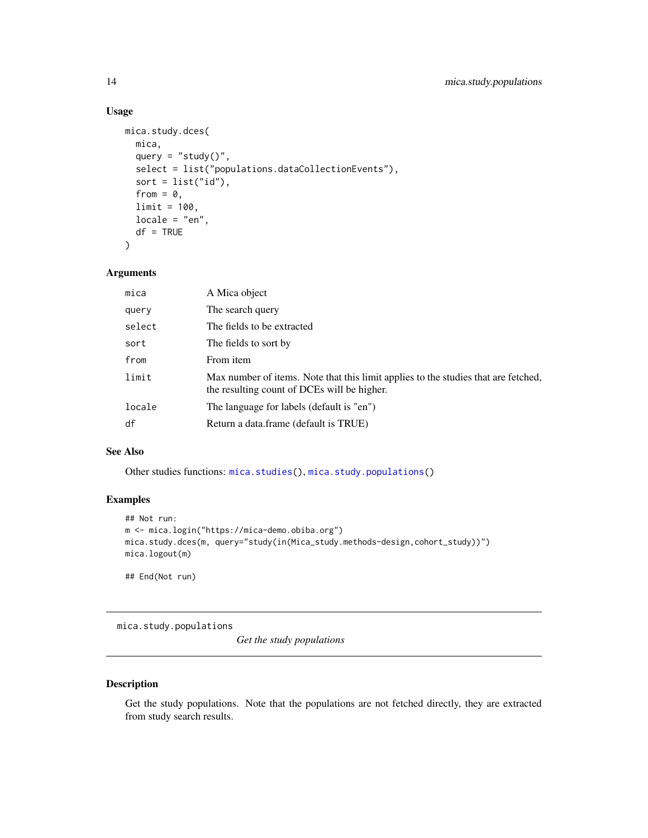## Usage

```
mica.study.dces(
 mica,
 query = "study()",select = list("populations.dataCollectionEvents"),
 sort = list("id"),
 from = 0,
 limit = 100,
 locale = "en",df = TRUE)
```
#### Arguments

| mica   | A Mica object                                                                                                                     |
|--------|-----------------------------------------------------------------------------------------------------------------------------------|
| query  | The search query                                                                                                                  |
| select | The fields to be extracted                                                                                                        |
| sort   | The fields to sort by                                                                                                             |
| from   | From item                                                                                                                         |
| limit  | Max number of items. Note that this limit applies to the studies that are fetched,<br>the resulting count of DCEs will be higher. |
| locale | The language for labels (default is "en")                                                                                         |
| df     | Return a data.frame (default is TRUE)                                                                                             |

## See Also

Other studies functions: [mica.studies\(](#page-11-1)), [mica.study.populations\(](#page-13-1))

## Examples

```
## Not run:
m <- mica.login("https://mica-demo.obiba.org")
mica.study.dces(m, query="study(in(Mica_study.methods-design,cohort_study))")
mica.logout(m)
```
## End(Not run)

<span id="page-13-1"></span>mica.study.populations

*Get the study populations*

#### Description

Get the study populations. Note that the populations are not fetched directly, they are extracted from study search results.

<span id="page-13-0"></span>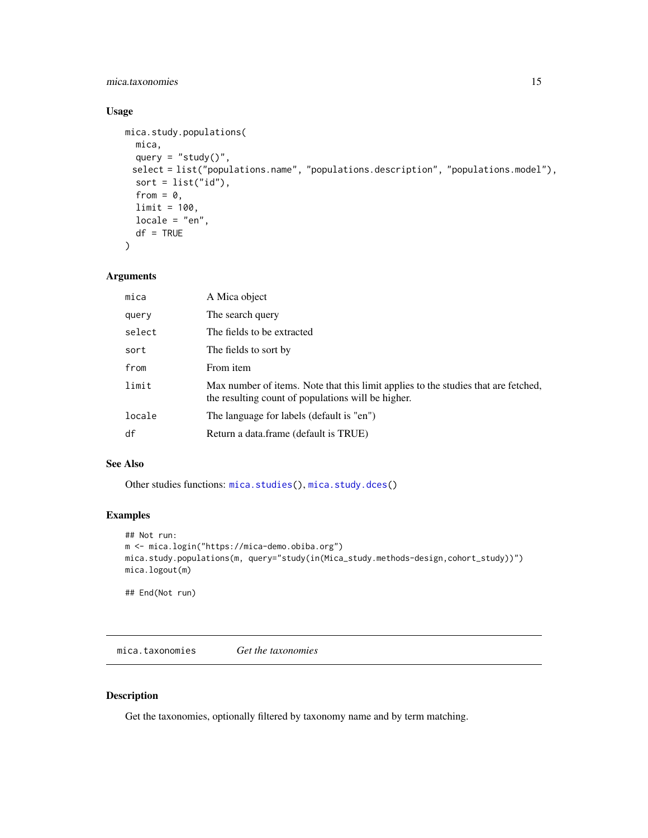## <span id="page-14-0"></span>mica.taxonomies 15

## Usage

```
mica.study.populations(
 mica,
 query = "study()",
 select = list("populations.name", "populations.description", "populations.model"),
 sort = list("id"),
  from = 0,
 limit = 100,
 locale = "en",df = TRUE\lambda
```
#### Arguments

| mica   | A Mica object                                                                                                                            |
|--------|------------------------------------------------------------------------------------------------------------------------------------------|
| query  | The search query                                                                                                                         |
| select | The fields to be extracted                                                                                                               |
| sort   | The fields to sort by                                                                                                                    |
| from   | From item                                                                                                                                |
| limit  | Max number of items. Note that this limit applies to the studies that are fetched,<br>the resulting count of populations will be higher. |
| locale | The language for labels (default is "en")                                                                                                |
| df     | Return a data.frame (default is TRUE)                                                                                                    |

#### See Also

Other studies functions: [mica.studies\(](#page-11-1)), [mica.study.dces\(](#page-12-1))

## Examples

```
## Not run:
m <- mica.login("https://mica-demo.obiba.org")
mica.study.populations(m, query="study(in(Mica_study.methods-design,cohort_study))")
mica.logout(m)
```
## End(Not run)

<span id="page-14-1"></span>mica.taxonomies *Get the taxonomies*

## Description

Get the taxonomies, optionally filtered by taxonomy name and by term matching.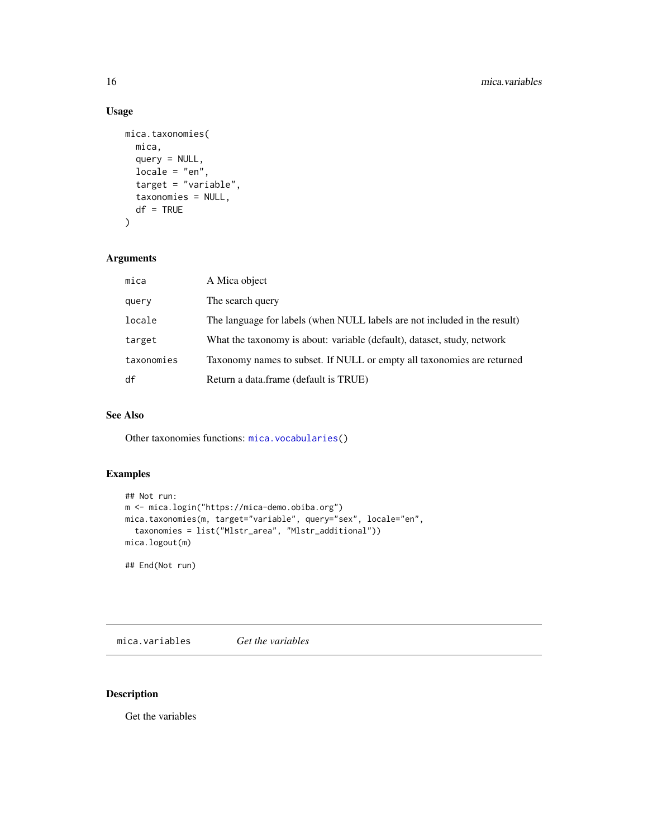## Usage

```
mica.taxonomies(
 mica,
 query = NULL,
 locale = "en",target = "variable",
  taxonomies = NULL,
 df = TRUE\mathcal{L}
```
## Arguments

| mica       | A Mica object                                                             |
|------------|---------------------------------------------------------------------------|
| query      | The search query                                                          |
| locale     | The language for labels (when NULL labels are not included in the result) |
| target     | What the taxonomy is about: variable (default), dataset, study, network   |
| taxonomies | Taxonomy names to subset. If NULL or empty all taxonomies are returned    |
| df         | Return a data.frame (default is TRUE)                                     |

## See Also

Other taxonomies functions: [mica.vocabularies\(](#page-16-1))

## Examples

```
## Not run:
m <- mica.login("https://mica-demo.obiba.org")
mica.taxonomies(m, target="variable", query="sex", locale="en",
  taxonomies = list("Mlstr_area", "Mlstr_additional"))
mica.logout(m)
```
## End(Not run)

mica.variables *Get the variables*

## Description

Get the variables

<span id="page-15-0"></span>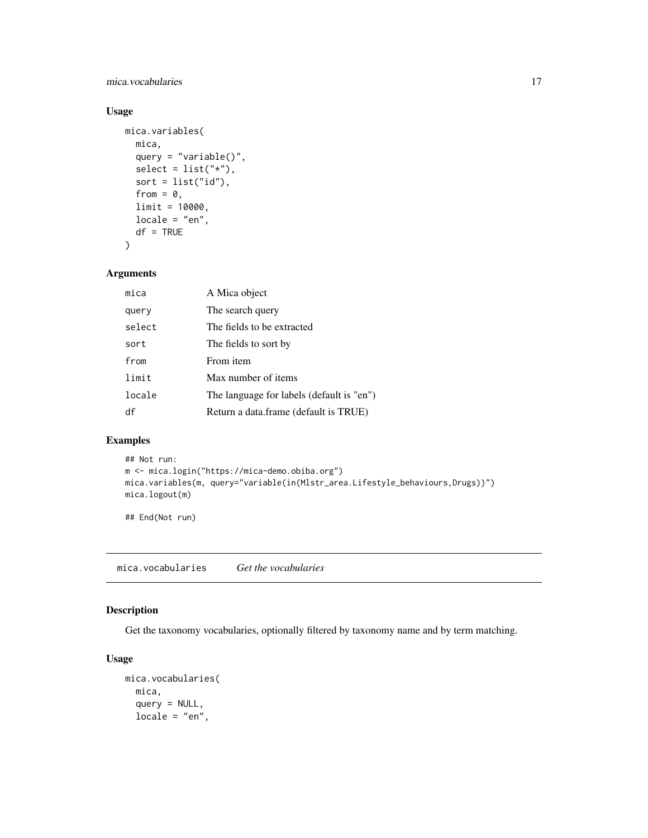<span id="page-16-0"></span>mica.vocabularies 17

## Usage

```
mica.variables(
 mica,
 query = "variable()",
 select = list("*"),
 sort = list("id"),
 from = 0,
 limit = 10000,
 locale = "en",df = TRUE)
```
## Arguments

| mica   | A Mica object                             |
|--------|-------------------------------------------|
| query  | The search query                          |
| select | The fields to be extracted                |
| sort   | The fields to sort by                     |
| from   | From item                                 |
| limit  | Max number of items                       |
| locale | The language for labels (default is "en") |
| df     | Return a data.frame (default is TRUE)     |

## Examples

```
## Not run:
m <- mica.login("https://mica-demo.obiba.org")
mica.variables(m, query="variable(in(Mlstr_area.Lifestyle_behaviours,Drugs))")
mica.logout(m)
```
## End(Not run)

<span id="page-16-1"></span>mica.vocabularies *Get the vocabularies*

## Description

Get the taxonomy vocabularies, optionally filtered by taxonomy name and by term matching.

#### Usage

```
mica.vocabularies(
 mica,
 query = NULL,
 locale = "en",
```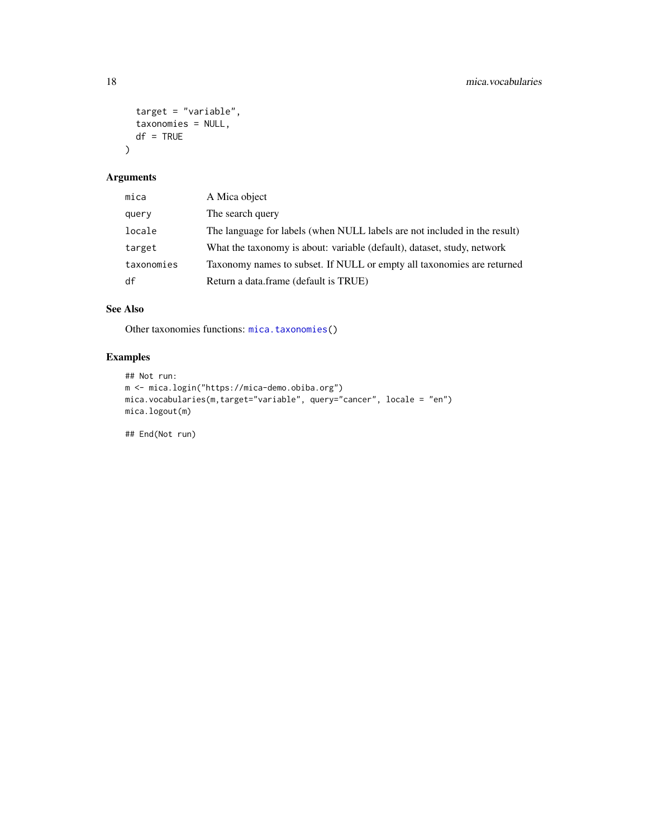```
target = "variable",
  taxonomies = NULL,
  df = TRUE\mathcal{L}
```
## Arguments

| mica       | A Mica object                                                             |
|------------|---------------------------------------------------------------------------|
| query      | The search query                                                          |
| locale     | The language for labels (when NULL labels are not included in the result) |
| target     | What the taxonomy is about: variable (default), dataset, study, network   |
| taxonomies | Taxonomy names to subset. If NULL or empty all taxonomies are returned    |
| df         | Return a data.frame (default is TRUE)                                     |

## See Also

Other taxonomies functions: [mica.taxonomies\(](#page-14-1))

## Examples

```
## Not run:
m <- mica.login("https://mica-demo.obiba.org")
mica.vocabularies(m,target="variable", query="cancer", locale = "en")
mica.logout(m)
```